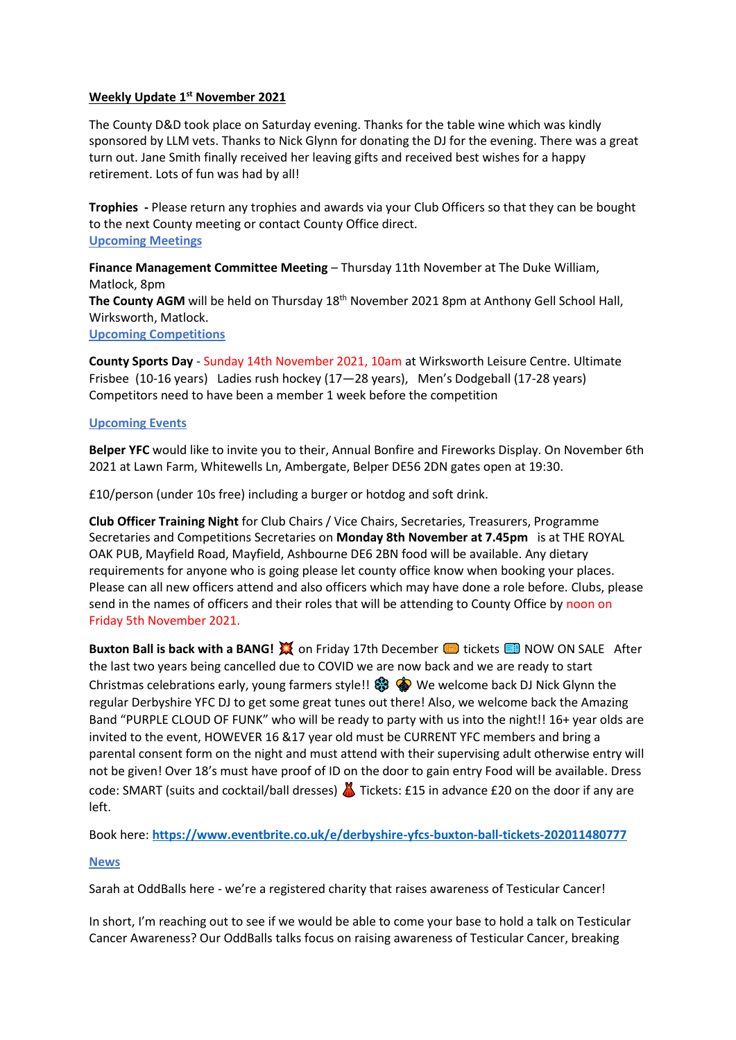# **Weekly Update 1 st November 2021**

The County D&D took place on Saturday evening. Thanks for the table wine which was kindly sponsored by LLM vets. Thanks to Nick Glynn for donating the DJ for the evening. There was a great turn out. Jane Smith finally received her leaving gifts and received best wishes for a happy retirement. Lots of fun was had by all!

**Trophies -** Please return any trophies and awards via your Club Officers so that they can be bought to the next County meeting or contact County Office direct. **Upcoming Meetings**

**Finance Management Committee Meeting** – Thursday 11th November at The Duke William, Matlock, 8pm The County AGM will be held on Thursday 18<sup>th</sup> November 2021 8pm at Anthony Gell School Hall, Wirksworth, Matlock. **Upcoming Competitions** 

**County Sports Day** - Sunday 14th November 2021, 10am at Wirksworth Leisure Centre. Ultimate Frisbee (10-16 years) Ladies rush hockey (17—28 years), Men's Dodgeball (17-28 years) Competitors need to have been a member 1 week before the competition

### **Upcoming Events**

**Belper YFC** would like to invite you to their, Annual Bonfire and Fireworks Display. On November 6th 2021 at Lawn Farm, Whitewells Ln, Ambergate, Belper DE56 2DN gates open at 19:30.

£10/person (under 10s free) including a burger or hotdog and soft drink.

**Club Officer Training Night** for Club Chairs / Vice Chairs, Secretaries, Treasurers, Programme Secretaries and Competitions Secretaries on **Monday 8th November at 7.45pm** is at THE ROYAL OAK PUB, Mayfield Road, Mayfield, Ashbourne DE6 2BN food will be available. Any dietary requirements for anyone who is going please let county office know when booking your places. Please can all new officers attend and also officers which may have done a role before. Clubs, please send in the names of officers and their roles that will be attending to County Office by noon on Friday 5th November 2021.

**Buxton Ball is back with a BANG!**  $\frac{1}{24}$  **on Friday 17th December <b>the Linket Condensation** NOW ON SALE After the last two years being cancelled due to COVID we are now back and we are ready to start Christmas celebrations early, young farmers style!!  $\circledast \circledast$  We welcome back DJ Nick Glynn the regular Derbyshire YFC DJ to get some great tunes out there! Also, we welcome back the Amazing Band "PURPLE CLOUD OF FUNK" who will be ready to party with us into the night!! 16+ year olds are invited to the event, HOWEVER 16 &17 year old must be CURRENT YFC members and bring a parental consent form on the night and must attend with their supervising adult otherwise entry will not be given! Over 18's must have proof of ID on the door to gain entry Food will be available. Dress code: SMART (suits and cocktail/ball dresses) **A** Tickets: £15 in advance £20 on the door if any are left.

Book here: **<https://www.eventbrite.co.uk/e/derbyshire-yfcs-buxton-ball-tickets-202011480777>**

#### **News**

Sarah at OddBalls here - we're a registered charity that raises awareness of Testicular Cancer!

In short, I'm reaching out to see if we would be able to come your base to hold a talk on Testicular Cancer Awareness? Our OddBalls talks focus on raising awareness of Testicular Cancer, breaking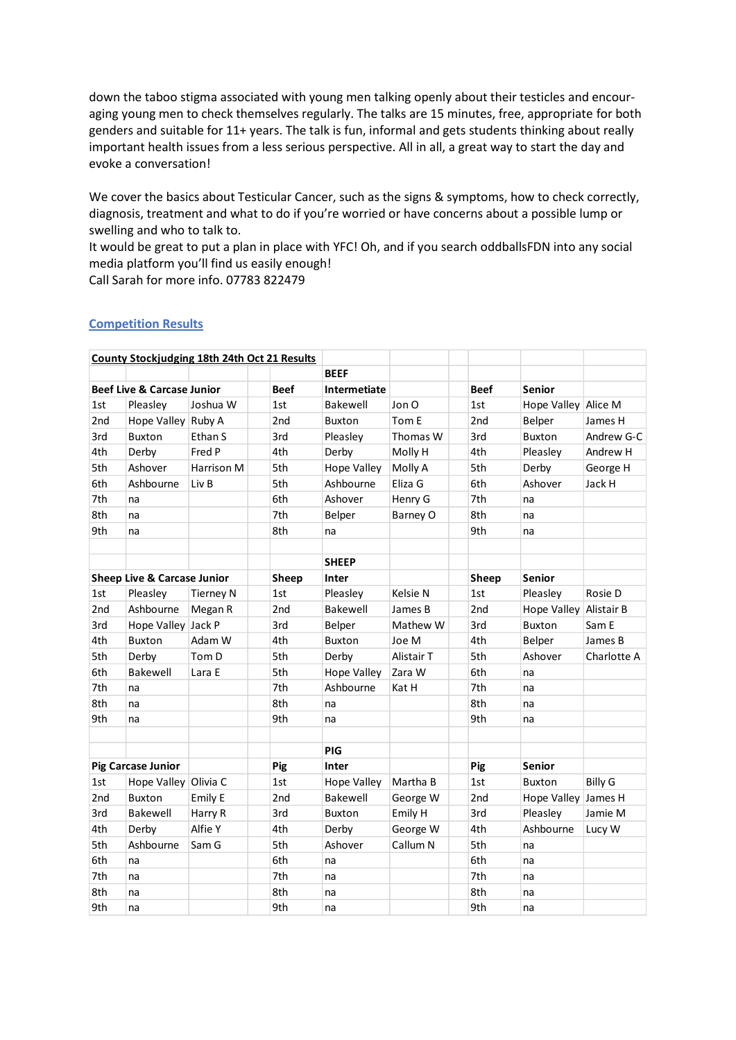down the taboo stigma associated with young men talking openly about their testicles and encouraging young men to check themselves regularly. The talks are 15 minutes, free, appropriate for both genders and suitable for 11+ years. The talk is fun, informal and gets students thinking about really important health issues from a less serious perspective. All in all, a great way to start the day and evoke a conversation!

We cover the basics about Testicular Cancer, such as the signs & symptoms, how to check correctly, diagnosis, treatment and what to do if you're worried or have concerns about a possible lump or swelling and who to talk to.

It would be great to put a plan in place with YFC! Oh, and if you search oddballsFDN into any social media platform you'll find us easily enough!

Call Sarah for more info. 07783 822479

|                                                      |                           |                  | <b>County Stockjudging 18th 24th Oct 21 Results</b> |               |             |                 |                        |                |
|------------------------------------------------------|---------------------------|------------------|-----------------------------------------------------|---------------|-------------|-----------------|------------------------|----------------|
|                                                      |                           |                  |                                                     | <b>BEEF</b>   |             |                 |                        |                |
| <b>Beef Live &amp; Carcase Junior</b><br><b>Beef</b> |                           |                  | <b>Intermetiate</b>                                 |               | <b>Beef</b> | <b>Senior</b>   |                        |                |
| 1st                                                  | Pleasley                  | Joshua W         | 1st                                                 | Bakewell      | Jon O       | 1st             | Hope Valley Alice M    |                |
| 2 <sub>nd</sub>                                      | Hope Valley Ruby A        |                  | 2nd                                                 | <b>Buxton</b> | Tom E       | 2 <sub>nd</sub> | Belper                 | James H        |
| 3rd                                                  | <b>Buxton</b>             | Ethan S          | 3rd                                                 | Pleasley      | Thomas W    | 3rd             | <b>Buxton</b>          | Andrew G-C     |
| 4th                                                  | Derby                     | Fred P           | 4th                                                 | Derby         | Molly H     | 4th             | Pleasley               | Andrew H       |
| 5th                                                  | Ashover                   | Harrison M       | 5th                                                 | Hope Valley   | Molly A     | 5th             | Derby                  | George H       |
| 6th                                                  | Ashbourne                 | Liv B            | 5th                                                 | Ashbourne     | Eliza G     | 6th             | Ashover                | Jack H         |
| 7th                                                  | na                        |                  | 6th                                                 | Ashover       | Henry G     | 7th             | na                     |                |
| 8th                                                  | na                        |                  | 7th                                                 | Belper        | Barney O    | 8th             | na                     |                |
| 9th                                                  | na                        |                  | 8th                                                 | na            |             | 9th             | na                     |                |
|                                                      |                           |                  |                                                     |               |             |                 |                        |                |
|                                                      |                           |                  |                                                     | <b>SHEEP</b>  |             |                 |                        |                |
| <b>Sheep Live &amp; Carcase Junior</b>               |                           | Sheep            | Inter                                               |               | Sheep       | <b>Senior</b>   |                        |                |
| 1st                                                  | Pleasley                  | <b>Tierney N</b> | 1st                                                 | Pleasley      | Kelsie N    | 1st             | Pleasley               | Rosie D        |
| 2nd                                                  | Ashbourne                 | Megan R          | 2nd                                                 | Bakewell      | James B     | 2nd             | Hope Valley Alistair B |                |
| 3rd                                                  | Hope Valley Jack P        |                  | 3rd                                                 | Belper        | Mathew W    | 3rd             | <b>Buxton</b>          | Sam E          |
| 4th                                                  | <b>Buxton</b>             | Adam W           | 4th                                                 | <b>Buxton</b> | Joe M       | 4th             | Belper                 | James B        |
| 5th                                                  | Derby                     | Tom D            | 5th                                                 | Derby         | Alistair T  | 5th             | Ashover                | Charlotte A    |
| 6th                                                  | Bakewell                  | Lara E           | 5th                                                 | Hope Valley   | Zara W      | 6th             | na                     |                |
| 7th                                                  | na                        |                  | 7th                                                 | Ashbourne     | Kat H       | 7th             | na                     |                |
| 8th                                                  | na                        |                  | 8th                                                 | na            |             | 8th             | na                     |                |
| 9th                                                  | na                        |                  | 9th                                                 | na            |             | 9th             | na                     |                |
|                                                      |                           |                  |                                                     |               |             |                 |                        |                |
|                                                      |                           |                  |                                                     | PIG           |             |                 |                        |                |
|                                                      | <b>Pig Carcase Junior</b> |                  | Pig                                                 | Inter         |             | Pig             | <b>Senior</b>          |                |
| 1st                                                  | Hope Valley Olivia C      |                  | 1st                                                 | Hope Valley   | Martha B    | 1st             | <b>Buxton</b>          | <b>Billy G</b> |
| 2nd                                                  | <b>Buxton</b>             | Emily E          | 2 <sub>nd</sub>                                     | Bakewell      | George W    | 2 <sub>nd</sub> | <b>Hope Valley</b>     | James H        |
| 3rd                                                  | Bakewell                  | Harry R          | 3rd                                                 | <b>Buxton</b> | Emily H     | 3rd             | Pleasley               | Jamie M        |
| 4th                                                  | Derby                     | Alfie Y          | 4th                                                 | Derby         | George W    | 4th             | Ashbourne              | Lucy W         |
| 5th                                                  | Ashbourne                 | Sam G            | 5th                                                 | Ashover       | Callum N    | 5th             | na                     |                |
| 6th                                                  | na                        |                  | 6th                                                 | na            |             | 6th             | na                     |                |
| 7th                                                  | na                        |                  | 7th                                                 | na            |             | 7th             | na                     |                |
| 8th                                                  | na                        |                  | 8th                                                 | na            |             | 8th             | na                     |                |
| 9th                                                  | na                        |                  | 9th                                                 | na            |             | 9th             | na                     |                |

### **Competition Results**